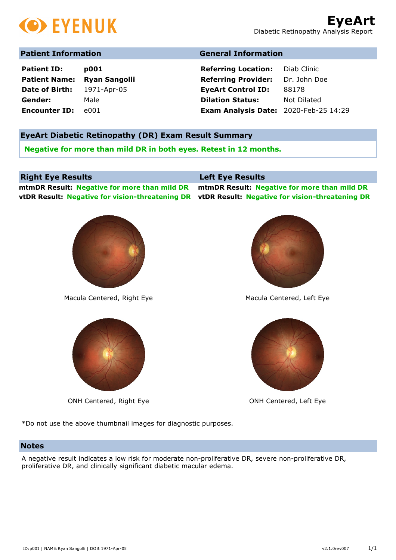

# **Patient Information General Information**

| <b>Patient ID:</b>   | p001                 |
|----------------------|----------------------|
| <b>Patient Name:</b> | <b>Ryan Sangolli</b> |
| Date of Birth:       | 1971-Apr-05          |
| Gender:              | Male                 |
| <b>Encounter ID:</b> | e001                 |

**Referring Location:** Diab Clinic **Referring Provider:** Dr. John Doe **EyeArt Control ID:** 88178 **Dilation Status:** Not Dilated **Exam Analysis Date:** 2020-Feb-25 14:29

## **EyeArt Diabetic Retinopathy (DR) Exam Result Summary**

**Negative for more than mild DR in both eyes. Retest in 12 months.**

## **Right Eye Results Left Eye Results**

**mtmDR Result: Negative for more than mild DR mtmDR Result: Negative for more than mild DR vtDR Result: Negative for vision-threatening DR vtDR Result: Negative for vision-threatening DR**



Macula Centered, Right Eye Macula Centered, Left Eye



ONH Centered, Right Eye **ONH** Centered, Left Eye





\*Do not use the above thumbnail images for diagnostic purposes.

### **Notes**

A negative result indicates a low risk for moderate non-proliferative DR, severe non-proliferative DR, proliferative DR, and clinically significant diabetic macular edema.